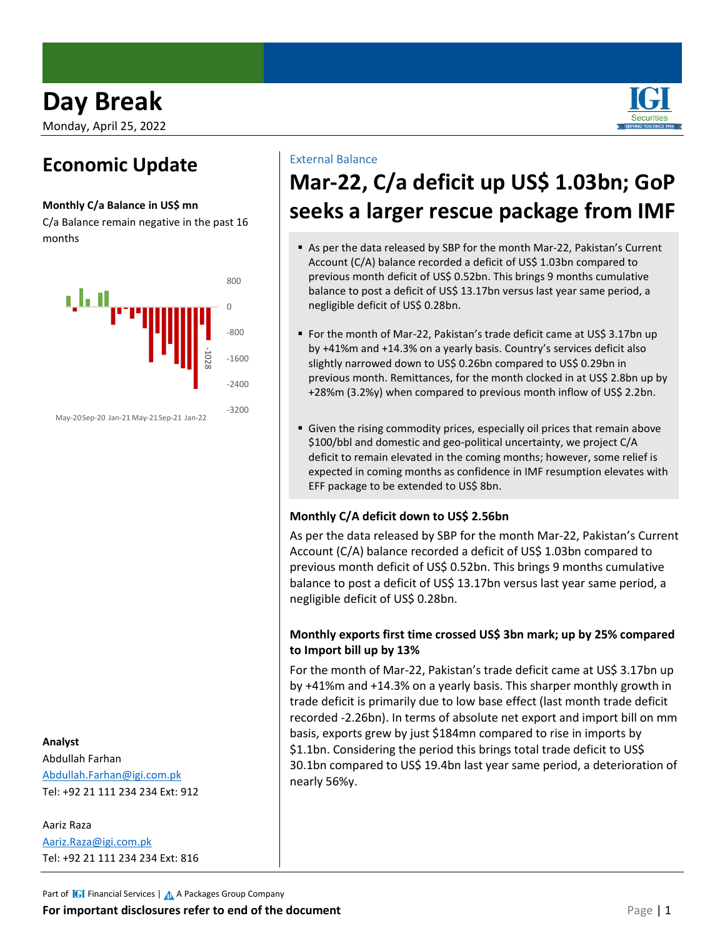# **Day Break**

Monday, April 25, 2022

### **Economic Update**

#### **Monthly C/a Balance in US\$ mn**

C/a Balance remain negative in the past 16 months



May-20Sep-20 Jan-21 May-21Sep-21 Jan-22

#### **Analyst**

Abdullah Farhan [Abdullah.Farhan@igi.com.pk](mailto:Abdullah.Farhan@igi.com.pk) Tel: +92 21 111 234 234 Ext: 912

Aariz Raza [Aariz.Raza@igi.com.pk](mailto:Aariz.Raza@igi.com.pk) Tel: +92 21 111 234 234 Ext: 816

### External Balance

## **Mar-22, C/a deficit up US\$ 1.03bn; GoP seeks a larger rescue package from IMF**

- As per the data released by SBP for the month Mar-22, Pakistan's Current Account (C/A) balance recorded a deficit of US\$ 1.03bn compared to previous month deficit of US\$ 0.52bn. This brings 9 months cumulative balance to post a deficit of US\$ 13.17bn versus last year same period, a negligible deficit of US\$ 0.28bn.
- For the month of Mar-22, Pakistan's trade deficit came at US\$ 3.17bn up by +41%m and +14.3% on a yearly basis. Country's services deficit also slightly narrowed down to US\$ 0.26bn compared to US\$ 0.29bn in previous month. Remittances, for the month clocked in at US\$ 2.8bn up by +28%m (3.2%y) when compared to previous month inflow of US\$ 2.2bn.
- Given the rising commodity prices, especially oil prices that remain above \$100/bbl and domestic and geo-political uncertainty, we project C/A deficit to remain elevated in the coming months; however, some relief is expected in coming months as confidence in IMF resumption elevates with EFF package to be extended to US\$ 8bn.

### **Monthly C/A deficit down to US\$ 2.56bn**

As per the data released by SBP for the month Mar-22, Pakistan's Current Account (C/A) balance recorded a deficit of US\$ 1.03bn compared to previous month deficit of US\$ 0.52bn. This brings 9 months cumulative balance to post a deficit of US\$ 13.17bn versus last year same period, a negligible deficit of US\$ 0.28bn.

### **Monthly exports first time crossed US\$ 3bn mark; up by 25% compared to Import bill up by 13%**

For the month of Mar-22, Pakistan's trade deficit came at US\$ 3.17bn up by +41%m and +14.3% on a yearly basis. This sharper monthly growth in trade deficit is primarily due to low base effect (last month trade deficit recorded -2.26bn). In terms of absolute net export and import bill on mm basis, exports grew by just \$184mn compared to rise in imports by \$1.1bn. Considering the period this brings total trade deficit to US\$ 30.1bn compared to US\$ 19.4bn last year same period, a deterioration of nearly 56%y.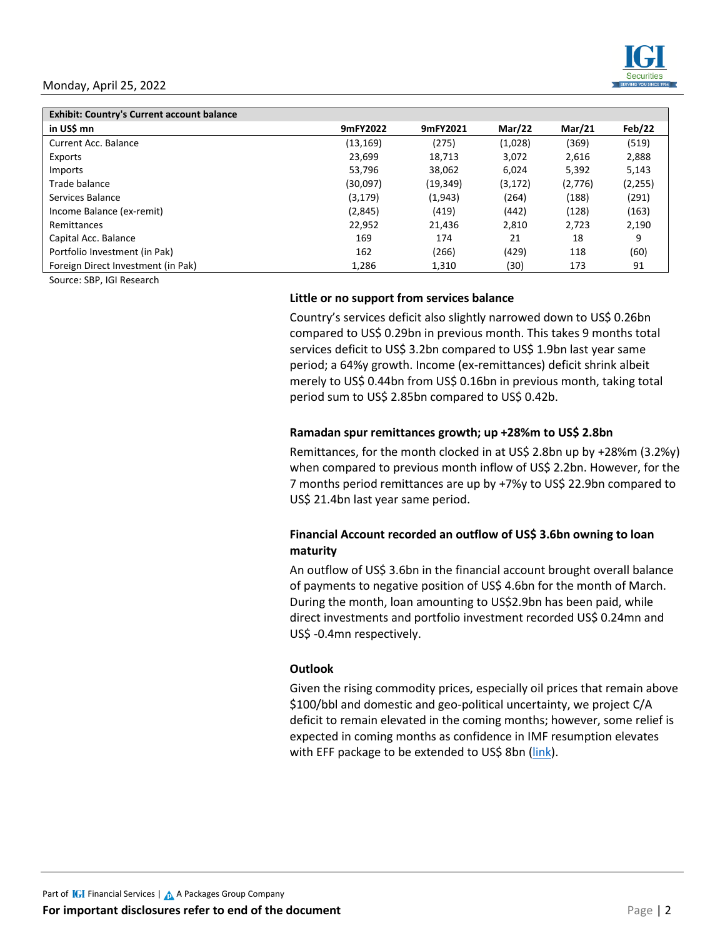#### Monday, April 25, 2022



| <b>Exhibit: Country's Current account balance</b> |           |           |               |               |          |
|---------------------------------------------------|-----------|-----------|---------------|---------------|----------|
| in US\$ mn                                        | 9mFY2022  | 9mFY2021  | <b>Mar/22</b> | <b>Mar/21</b> | Feb/22   |
| Current Acc. Balance                              | (13, 169) | (275)     | (1,028)       | (369)         | (519)    |
| Exports                                           | 23.699    | 18.713    | 3.072         | 2,616         | 2,888    |
| Imports                                           | 53.796    | 38,062    | 6.024         | 5,392         | 5,143    |
| Trade balance                                     | (30,097)  | (19, 349) | (3, 172)      | (2,776)       | (2, 255) |
| Services Balance                                  | (3, 179)  | (1,943)   | (264)         | (188)         | (291)    |
| Income Balance (ex-remit)                         | (2,845)   | (419)     | (442)         | (128)         | (163)    |
| Remittances                                       | 22.952    | 21,436    | 2,810         | 2.723         | 2,190    |
| Capital Acc. Balance                              | 169       | 174       | 21            | 18            | q        |
| Portfolio Investment (in Pak)                     | 162       | (266)     | (429)         | 118           | (60)     |
| Foreign Direct Investment (in Pak)                | 1,286     | 1,310     | (30)          | 173           | 91       |

Source: SBP, IGI Research

#### **Little or no support from services balance**

Country's services deficit also slightly narrowed down to US\$ 0.26bn compared to US\$ 0.29bn in previous month. This takes 9 months total services deficit to US\$ 3.2bn compared to US\$ 1.9bn last year same period; a 64%y growth. Income (ex-remittances) deficit shrink albeit merely to US\$ 0.44bn from US\$ 0.16bn in previous month, taking total period sum to US\$ 2.85bn compared to US\$ 0.42b.

#### **Ramadan spur remittances growth; up +28%m to US\$ 2.8bn**

Remittances, for the month clocked in at US\$ 2.8bn up by +28%m (3.2%y) when compared to previous month inflow of US\$ 2.2bn. However, for the 7 months period remittances are up by +7%y to US\$ 22.9bn compared to US\$ 21.4bn last year same period.

#### **Financial Account recorded an outflow of US\$ 3.6bn owning to loan maturity**

An outflow of US\$ 3.6bn in the financial account brought overall balance of payments to negative position of US\$ 4.6bn for the month of March. During the month, loan amounting to US\$2.9bn has been paid, while direct investments and portfolio investment recorded US\$ 0.24mn and US\$ -0.4mn respectively.

#### **Outlook**

Given the rising commodity prices, especially oil prices that remain above \$100/bbl and domestic and geo-political uncertainty, we project C/A deficit to remain elevated in the coming months; however, some relief is expected in coming months as confidence in IMF resumption elevates with EFF package to be extended to US\$ 8bn [\(link\)](https://tribune.com.pk/story/2354052/breakthrough-in-pak-imf-bailout-talks-loan-amount-to-be-8bn).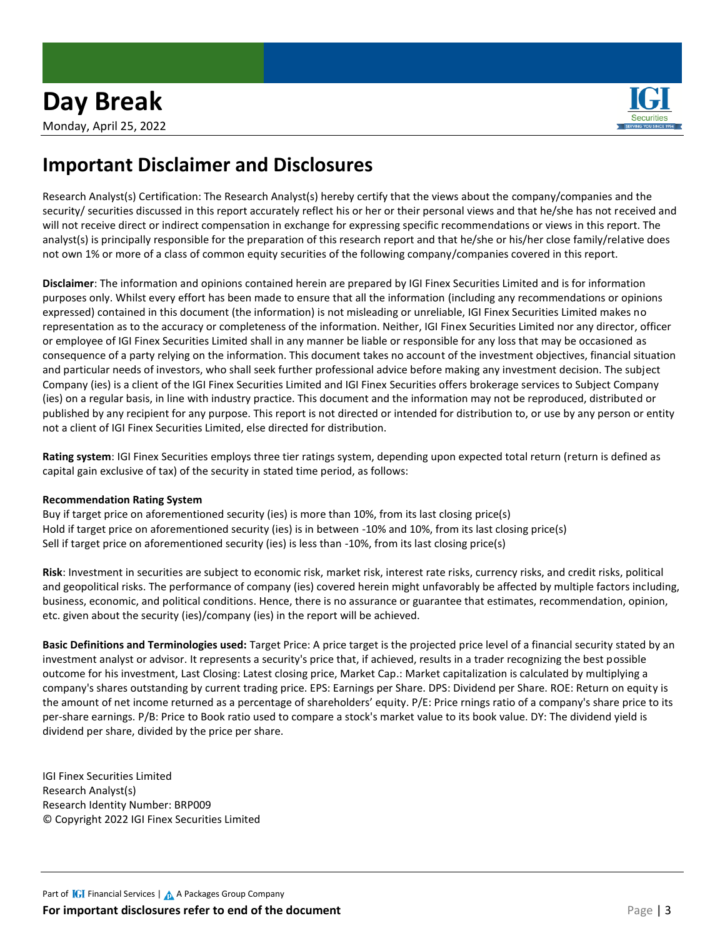#### Monday, April 25, 2022

### **Important Disclaimer and Disclosures**

Research Analyst(s) Certification: The Research Analyst(s) hereby certify that the views about the company/companies and the security/ securities discussed in this report accurately reflect his or her or their personal views and that he/she has not received and will not receive direct or indirect compensation in exchange for expressing specific recommendations or views in this report. The analyst(s) is principally responsible for the preparation of this research report and that he/she or his/her close family/relative does not own 1% or more of a class of common equity securities of the following company/companies covered in this report.

**Disclaimer**: The information and opinions contained herein are prepared by IGI Finex Securities Limited and is for information purposes only. Whilst every effort has been made to ensure that all the information (including any recommendations or opinions expressed) contained in this document (the information) is not misleading or unreliable, IGI Finex Securities Limited makes no representation as to the accuracy or completeness of the information. Neither, IGI Finex Securities Limited nor any director, officer or employee of IGI Finex Securities Limited shall in any manner be liable or responsible for any loss that may be occasioned as consequence of a party relying on the information. This document takes no account of the investment objectives, financial situation and particular needs of investors, who shall seek further professional advice before making any investment decision. The subject Company (ies) is a client of the IGI Finex Securities Limited and IGI Finex Securities offers brokerage services to Subject Company (ies) on a regular basis, in line with industry practice. This document and the information may not be reproduced, distributed or published by any recipient for any purpose. This report is not directed or intended for distribution to, or use by any person or entity not a client of IGI Finex Securities Limited, else directed for distribution.

**Rating system**: IGI Finex Securities employs three tier ratings system, depending upon expected total return (return is defined as capital gain exclusive of tax) of the security in stated time period, as follows:

#### **Recommendation Rating System**

Buy if target price on aforementioned security (ies) is more than 10%, from its last closing price(s) Hold if target price on aforementioned security (ies) is in between -10% and 10%, from its last closing price(s) Sell if target price on aforementioned security (ies) is less than -10%, from its last closing price(s)

**Risk**: Investment in securities are subject to economic risk, market risk, interest rate risks, currency risks, and credit risks, political and geopolitical risks. The performance of company (ies) covered herein might unfavorably be affected by multiple factors including, business, economic, and political conditions. Hence, there is no assurance or guarantee that estimates, recommendation, opinion, etc. given about the security (ies)/company (ies) in the report will be achieved.

**Basic Definitions and Terminologies used:** Target Price: A price target is the projected price level of a financial security stated by an investment analyst or advisor. It represents a security's price that, if achieved, results in a trader recognizing the best possible outcome for his investment, Last Closing: Latest closing price, Market Cap.: Market capitalization is calculated by multiplying a company's shares outstanding by current trading price. EPS: Earnings per Share. DPS: Dividend per Share. ROE: Return on equity is the amount of net income returned as a percentage of shareholders' equity. P/E: Price rnings ratio of a company's share price to its per-share earnings. P/B: Price to Book ratio used to compare a stock's market value to its book value. DY: The dividend yield is dividend per share, divided by the price per share.

IGI Finex Securities Limited Research Analyst(s) Research Identity Number: BRP009 © Copyright 2022 IGI Finex Securities Limited